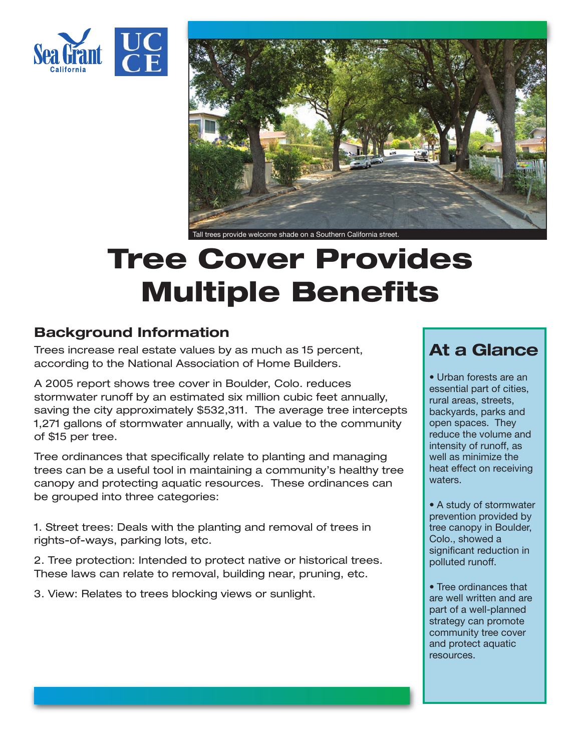



Tall trees provide welcome shade on a Southern California street.

# **Tree Cover Provides Multiple Benefits**

### **Background Information**

Trees increase real estate values by as much as 15 percent, according to the National Association of Home Builders.

A 2005 report shows tree cover in Boulder, Colo. reduces stormwater runoff by an estimated six million cubic feet annually, saving the city approximately \$532,311. The average tree intercepts 1,271 gallons of stormwater annually, with a value to the community of \$15 per tree.

Tree ordinances that specifically relate to planting and managing trees can be a useful tool in maintaining a community's healthy tree canopy and protecting aquatic resources. These ordinances can be grouped into three categories:

1. Street trees: Deals with the planting and removal of trees in rights-of-ways, parking lots, etc.

2. Tree protection: Intended to protect native or historical trees. These laws can relate to removal, building near, pruning, etc.

3. View: Relates to trees blocking views or sunlight.

## **At a Glance**

• Urban forests are an essential part of cities, rural areas, streets, backyards, parks and open spaces. They reduce the volume and intensity of runoff, as well as minimize the heat effect on receiving waters.

• A study of stormwater prevention provided by tree canopy in Boulder, Colo., showed a significant reduction in polluted runoff.

• Tree ordinances that are well written and are part of a well-planned strategy can promote community tree cover and protect aquatic resources.